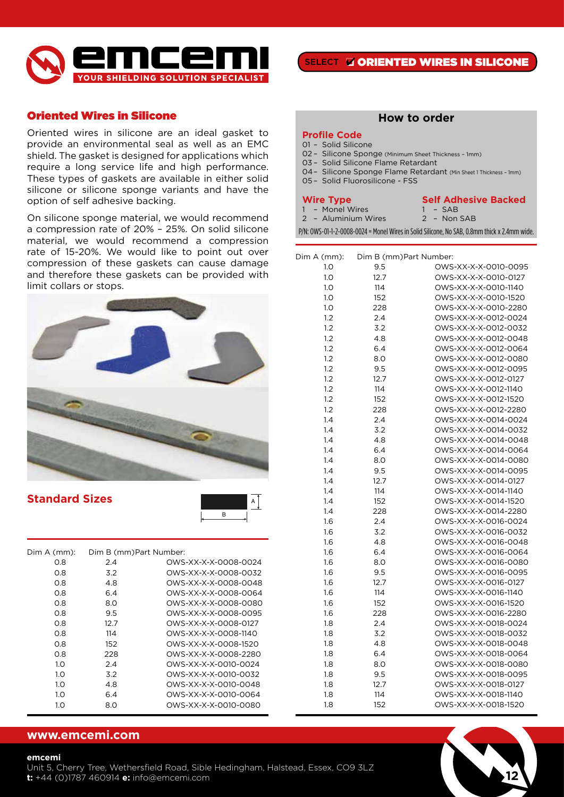

# Oriented Wires in Silicone

Oriented wires in silicone are an ideal gasket to provide an environmental seal as well as an EMC shield. The gasket is designed for applications which require a long service life and high performance. These types of gaskets are available in either solid silicone or silicone sponge variants and have the option of self adhesive backing.

On silicone sponge material, we would recommend a compression rate of 20% – 25%. On solid silicone material, we would recommend a compression rate of 15-20%. We would like to point out over compression of these gaskets can cause damage and therefore these gaskets can be provided with limit collars or stops.



**Standard Sizes**



| Dim A (mm): | Dim B (mm) Part Number: |                      |
|-------------|-------------------------|----------------------|
| 0.8         | 2.4                     | OWS-XX-X-X-0008-0024 |
| 0.8         | 3.2                     | OWS-XX-X-X-0008-0032 |
| 0.8         | 4.8                     | OWS-XX-X-X-0008-0048 |
| 0.8         | 6.4                     | OWS-XX-X-X-0008-0064 |
| O.8         | 8.0                     | OWS-XX-X-X-0008-0080 |
| 0.8         | 9.5                     | OWS-XX-X-X-0008-0095 |
| 0.8         | 12.7                    | OWS-XX-X-X-0008-0127 |
| O.8         | 114                     | OWS-XX-X-X-0008-1140 |
| O.8         | 152                     | OWS-XX-X-X-0008-1520 |
| 0.8         | 228                     | OWS-XX-X-X-0008-2280 |
| 1.0         | 2.4                     | OWS-XX-X-X-0010-0024 |
| 1.0         | 3.2                     | OWS-XX-X-X-0010-0032 |
| 1.0         | 4.8                     | OWS-XX-X-X-0010-0048 |
| 1.0         | 6.4                     | OWS-XX-X-X-0010-0064 |
| 1.O         | 8.0                     | OWS-XX-X-X-0010-0080 |
|             |                         |                      |

## **www.emcemi.com**

### **emcemi**

### **How to order**

#### **Profile Code**

- 01 Solid Silicone
- 02 Silicone Sponge (Minimum Sheet Thickness 1mm)
- 03 Solid Silicone Flame Retardant
- 04– Silicone Sponge Flame Retardant (Min Sheet 1 Thickness 1mm)
- 05 Solid Fluorosilicone FSS

#### **Wire Type**

|  | Monel Wires |  |
|--|-------------|--|
|--|-------------|--|

2 – Aluminium Wires

**Self Adhesive Backed** 1 – SAB 2 – Non SAB

P/N: OWS-01-1-2-0008-0024 = Monel Wires in Solid Silicone, No SAB, 0.8mm thick x 2.4mm wide.

| Dim A (mm): | Dim B (mm)Part Number: |                      |
|-------------|------------------------|----------------------|
| 1.0         | 9.5                    | OWS-XX-X-X-0010-0095 |
| 1.0         | 12.7                   | OWS-XX-X-X-0010-0127 |
| 1.0         | 114                    | OWS-XX-X-X-0010-1140 |
| 1.0         | 152                    | OWS-XX-X-X-0010-1520 |
| 1.0         | 228                    | OWS-XX-X-X-0010-2280 |
| 1.2         | 2.4                    | OWS-XX-X-X-0012-0024 |
| 1.2         | 3.2                    | OWS-XX-X-X-0012-0032 |
| 1.2         | 4.8                    | OWS-XX-X-X-0012-0048 |
| 1.2         | 6.4                    | OWS-XX-X-X-0012-0064 |
| 1.2         | 8.0                    | OWS-XX-X-X-0012-0080 |
| 1.2         | 9.5                    | OWS-XX-X-X-0012-0095 |
| 1.2         | 12.7                   | OWS-XX-X-X-0012-0127 |
| 1.2         | 114                    | OWS-XX-X-X-0012-1140 |
| 1.2         | 152                    | OWS-XX-X-X-0012-1520 |
| 1.2         | 228                    | OWS-XX-X-X-0012-2280 |
| 1.4         | 2.4                    | OWS-XX-X-X-0014-0024 |
| 1.4         | 3.2                    | OWS-XX-X-X-0014-0032 |
| 1.4         | 4.8                    | OWS-XX-X-X-0014-0048 |
| 1.4         | 6.4                    | OWS-XX-X-X-0014-0064 |
| 1.4         | 8.0                    | OWS-XX-X-X-0014-0080 |
| 1.4         | 9.5                    | OWS-XX-X-X-0014-0095 |
| 1.4         | 12.7                   | OWS-XX-X-X-0014-0127 |
| 1.4         | 114                    | OWS-XX-X-X-0014-1140 |
| 1.4         | 152                    | OWS-XX-X-X-0014-1520 |
| 1.4         | 228                    | OWS-XX-X-X-0014-2280 |
| 1.6         | 2.4                    | OWS-XX-X-X-0016-0024 |
| 1.6         | 3.2                    | OWS-XX-X-X-0016-0032 |
| 1.6         | 4.8                    | OWS-XX-X-X-0016-0048 |
| 1.6         | 6.4                    | OWS-XX-X-X-0016-0064 |
| 1.6         | 8.0                    | OWS-XX-X-X-0016-0080 |
| 1.6         | 9.5                    | OWS-XX-X-X-0016-0095 |
| 1.6         | 12.7                   | OWS-XX-X-X-0016-0127 |
| 1.6         | 114                    | OWS-XX-X-X-0016-1140 |
| 1.6         | 152                    | OWS-XX-X-X-0016-1520 |
| 1.6         | 228                    | OWS-XX-X-X-0016-2280 |
| 1.8         | 2.4                    | OWS-XX-X-X-0018-0024 |
| 1.8         | 3.2                    | OWS-XX-X-X-0018-0032 |
| 1.8         | 4.8                    | OWS-XX-X-X-0018-0048 |
| 1.8         | 6.4                    | OWS-XX-X-X-0018-0064 |
| 1.8         | 8.0                    | OWS-XX-X-X-0018-0080 |
| 1.8         | 9.5                    | OWS-XX-X-X-0018-0095 |
| 1.8         | 12.7                   | OWS-XX-X-X-0018-0127 |
| 1.8         | 114                    | OWS-XX-X-X-0018-1140 |
| 1.8         | 152                    | OWS-XX-X-X-0018-1520 |